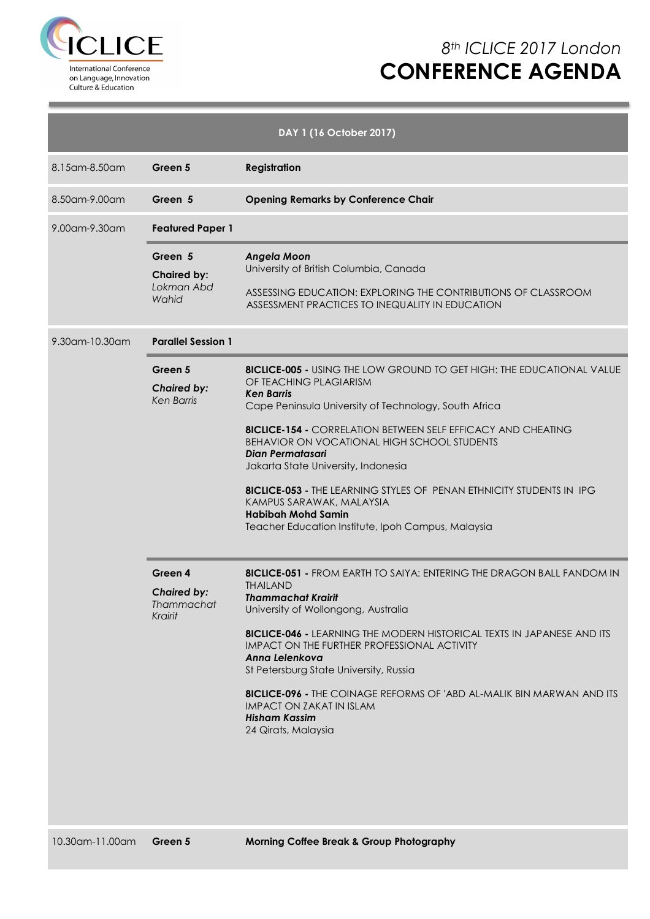

## *8th ICLICE 2017 London* **CONFERENCE AGENDA**

|                   |                                                        | DAY 1 (16 October 2017)                                                                                                                                                                                                                                                                                                                                                                                                                                                                                                                                                           |
|-------------------|--------------------------------------------------------|-----------------------------------------------------------------------------------------------------------------------------------------------------------------------------------------------------------------------------------------------------------------------------------------------------------------------------------------------------------------------------------------------------------------------------------------------------------------------------------------------------------------------------------------------------------------------------------|
| 8.15 am - 8.50 am | Green 5                                                | <b>Registration</b>                                                                                                                                                                                                                                                                                                                                                                                                                                                                                                                                                               |
| 8.50am-9.00am     | Green 5                                                | <b>Opening Remarks by Conference Chair</b>                                                                                                                                                                                                                                                                                                                                                                                                                                                                                                                                        |
| 9.00 am - 9.30 am | <b>Featured Paper 1</b>                                |                                                                                                                                                                                                                                                                                                                                                                                                                                                                                                                                                                                   |
|                   | Green 5<br><b>Chaired by:</b><br>Lokman Abd<br>Wahid   | <b>Angela Moon</b><br>University of British Columbia, Canada<br>ASSESSING EDUCATION: EXPLORING THE CONTRIBUTIONS OF CLASSROOM<br>ASSESSMENT PRACTICES TO INEQUALITY IN EDUCATION                                                                                                                                                                                                                                                                                                                                                                                                  |
| 9.30am-10.30am    | <b>Parallel Session 1</b>                              |                                                                                                                                                                                                                                                                                                                                                                                                                                                                                                                                                                                   |
|                   | Green 5<br><b>Chaired by:</b><br><b>Ken Barris</b>     | <b>8ICLICE-005 - USING THE LOW GROUND TO GET HIGH: THE EDUCATIONAL VALUE</b><br>OF TEACHING PLAGIARISM<br><b>Ken Barris</b><br>Cape Peninsula University of Technology, South Africa<br><b>8ICLICE-154 -</b> CORRELATION BETWEEN SELF EFFICACY AND CHEATING<br><b>BEHAVIOR ON VOCATIONAL HIGH SCHOOL STUDENTS</b><br><b>Dian Permatasari</b><br>Jakarta State University, Indonesia<br><b>8ICLICE-053 - THE LEARNING STYLES OF PENAN ETHNICITY STUDENTS IN IPG</b><br>KAMPUS SARAWAK, MALAYSIA<br><b>Habibah Mohd Samin</b><br>Teacher Education Institute, Ipoh Campus, Malaysia |
|                   | Green 4<br><b>Chaired by:</b><br>Thammachat<br>Krairit | <b>8ICLICE-051 - FROM EARTH TO SAIYA: ENTERING THE DRAGON BALL FANDOM IN</b><br><b>THAILAND</b><br><b>Thammachat Krairit</b><br>University of Wollongong, Australia<br><b>8ICLICE-046 - LEARNING THE MODERN HISTORICAL TEXTS IN JAPANESE AND ITS</b><br>IMPACT ON THE FURTHER PROFESSIONAL ACTIVITY<br>Anna Lelenkova<br>St Petersburg State University, Russia<br><b>8ICLICE-096 - THE COINAGE REFORMS OF 'ABD AL-MALIK BIN MARWAN AND ITS</b><br><b>IMPACT ON ZAKAT IN ISLAM</b><br><b>Hisham Kassim</b><br>24 Qirats, Malaysia                                                 |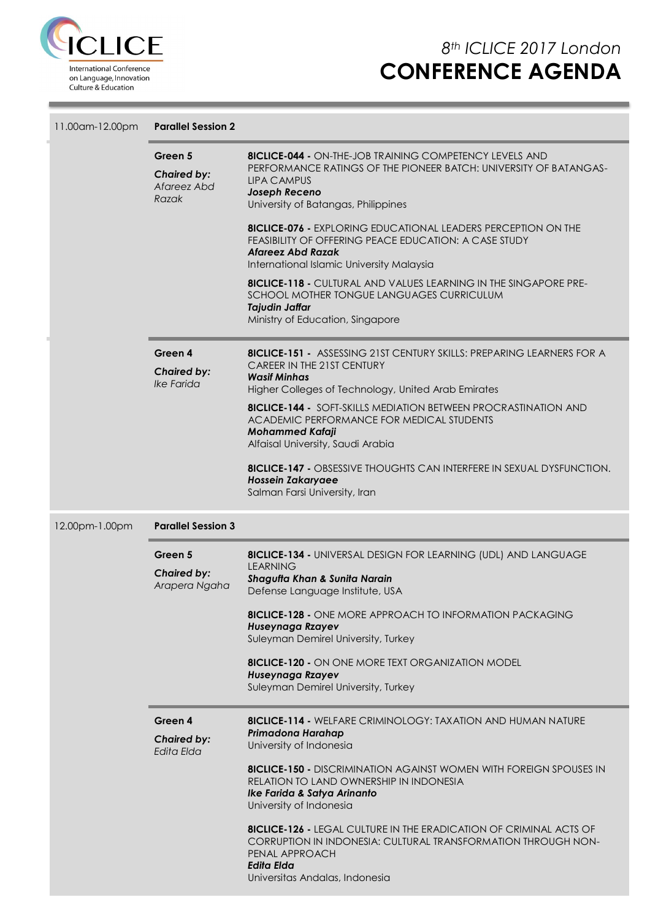

 $\sim$ 

| 11.00am-12.00pm | <b>Parallel Session 2</b>                             |                                                                                                                                                                                                                     |  |  |  |  |  |  |
|-----------------|-------------------------------------------------------|---------------------------------------------------------------------------------------------------------------------------------------------------------------------------------------------------------------------|--|--|--|--|--|--|
|                 | Green 5<br><b>Chaired by:</b><br>Afareez Abd<br>Razak | <b>8ICLICE-044 - ON-THE-JOB TRAINING COMPETENCY LEVELS AND</b><br>PERFORMANCE RATINGS OF THE PIONEER BATCH: UNIVERSITY OF BATANGAS-<br>LIPA CAMPUS<br>Joseph Receno<br>University of Batangas, Philippines          |  |  |  |  |  |  |
|                 |                                                       | <b>8ICLICE-076 - EXPLORING EDUCATIONAL LEADERS PERCEPTION ON THE</b><br>FEASIBILITY OF OFFERING PEACE EDUCATION: A CASE STUDY<br><b>Afareez Abd Razak</b><br>International Islamic University Malaysia              |  |  |  |  |  |  |
|                 |                                                       | <b>8ICLICE-118 - CULTURAL AND VALUES LEARNING IN THE SINGAPORE PRE-</b><br>SCHOOL MOTHER TONGUE LANGUAGES CURRICULUM<br><b>Tajudin Jaffar</b><br>Ministry of Education, Singapore                                   |  |  |  |  |  |  |
|                 | Green 4<br><b>Chaired by:</b><br><b>Ike Farida</b>    | <b>8ICLICE-151 - ASSESSING 21ST CENTURY SKILLS: PREPARING LEARNERS FOR A</b><br>CAREER IN THE 21ST CENTURY<br><b>Wasif Minhas</b><br>Higher Colleges of Technology, United Arab Emirates                            |  |  |  |  |  |  |
|                 |                                                       | <b>8ICLICE-144 - SOFT-SKILLS MEDIATION BETWEEN PROCRASTINATION AND</b><br>ACADEMIC PERFORMANCE FOR MEDICAL STUDENTS<br><b>Mohammed Kafaji</b><br>Alfaisal University, Saudi Arabia                                  |  |  |  |  |  |  |
|                 |                                                       | <b>BICLICE-147 - OBSESSIVE THOUGHTS CAN INTERFERE IN SEXUAL DYSFUNCTION.</b><br><b>Hossein Zakaryaee</b><br>Salman Farsi University, Iran                                                                           |  |  |  |  |  |  |
| 12.00pm-1.00pm  | <b>Parallel Session 3</b>                             |                                                                                                                                                                                                                     |  |  |  |  |  |  |
|                 | Green 5<br><b>Chaired by:</b><br>Arapera Ngaha        | <b>8ICLICE-134 - UNIVERSAL DESIGN FOR LEARNING (UDL) AND LANGUAGE</b><br><b>LEARNING</b><br>Shagufta Khan & Sunita Narain<br>Defense Language Institute, USA                                                        |  |  |  |  |  |  |
|                 |                                                       | <b>8ICLICE-128 - ONE MORE APPROACH TO INFORMATION PACKAGING</b><br>Huseynaga Rzayev<br>Suleyman Demirel University, Turkey                                                                                          |  |  |  |  |  |  |
|                 |                                                       | <b>8ICLICE-120 - ON ONE MORE TEXT ORGANIZATION MODEL</b><br>Huseynaga Rzayev<br>Suleyman Demirel University, Turkey                                                                                                 |  |  |  |  |  |  |
|                 | Green 4<br><b>Chaired by:</b><br>Edita Elda           | <b>8ICLICE-114 - WELFARE CRIMINOLOGY: TAXATION AND HUMAN NATURE</b><br>Primadona Harahap<br>University of Indonesia                                                                                                 |  |  |  |  |  |  |
|                 |                                                       | <b>8ICLICE-150 -</b> DISCRIMINATION AGAINST WOMEN WITH FOREIGN SPOUSES IN<br>RELATION TO LAND OWNERSHIP IN INDONESIA<br>Ike Farida & Satya Arinanto<br>University of Indonesia                                      |  |  |  |  |  |  |
|                 |                                                       | <b>8ICLICE-126 - LEGAL CULTURE IN THE ERADICATION OF CRIMINAL ACTS OF</b><br>CORRUPTION IN INDONESIA: CULTURAL TRANSFORMATION THROUGH NON-<br>PENAL APPROACH<br><b>Edita Elda</b><br>Universitas Andalas, Indonesia |  |  |  |  |  |  |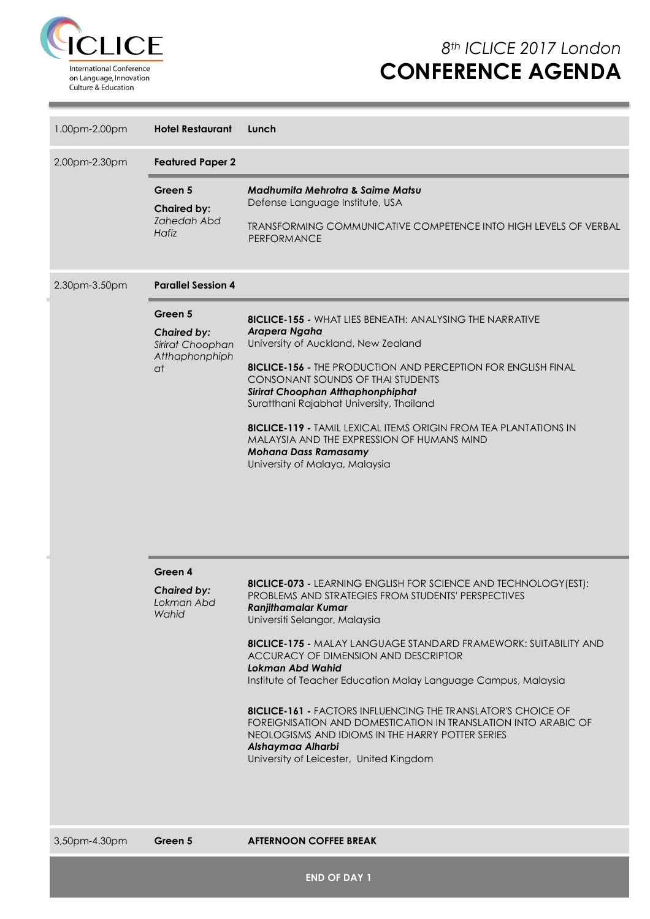

| 1.00pm-2.00pm | <b>Hotel Restaurant</b>                                                   | Lunch                                                                                                                                                                                                                                                                                                                                                                                                                                                                                                                                                                                                                                                                      |
|---------------|---------------------------------------------------------------------------|----------------------------------------------------------------------------------------------------------------------------------------------------------------------------------------------------------------------------------------------------------------------------------------------------------------------------------------------------------------------------------------------------------------------------------------------------------------------------------------------------------------------------------------------------------------------------------------------------------------------------------------------------------------------------|
| 2,00pm-2.30pm | <b>Featured Paper 2</b>                                                   |                                                                                                                                                                                                                                                                                                                                                                                                                                                                                                                                                                                                                                                                            |
|               | Green 5<br><b>Chaired by:</b><br><b>Zahedah Abd</b><br>Hafiz              | Madhumita Mehrotra & Saime Matsu<br>Defense Language Institute, USA<br>TRANSFORMING COMMUNICATIVE COMPETENCE INTO HIGH LEVELS OF VERBAL<br><b>PERFORMANCE</b>                                                                                                                                                                                                                                                                                                                                                                                                                                                                                                              |
| 2,30pm-3.50pm | <b>Parallel Session 4</b>                                                 |                                                                                                                                                                                                                                                                                                                                                                                                                                                                                                                                                                                                                                                                            |
|               | Green 5<br><b>Chaired by:</b><br>Sirirat Choophan<br>Atthaphonphiph<br>at | <b>8ICLICE-155 - WHAT LIES BENEATH: ANALYSING THE NARRATIVE</b><br>Arapera Ngaha<br>University of Auckland, New Zealand<br><b>8ICLICE-156 - THE PRODUCTION AND PERCEPTION FOR ENGLISH FINAL</b><br>CONSONANT SOUNDS OF THAI STUDENTS<br>Sirirat Choophan Atthaphonphiphat<br>Suratthani Rajabhat University, Thailand<br><b>8ICLICE-119 - TAMIL LEXICAL ITEMS ORIGIN FROM TEA PLANTATIONS IN</b><br>MALAYSIA AND THE EXPRESSION OF HUMANS MIND<br><b>Mohana Dass Ramasamy</b><br>University of Malaya, Malaysia                                                                                                                                                            |
|               | Green 4<br><b>Chaired by:</b><br>Lokman Abd<br>Wahid                      | <b>8ICLICE-073 - LEARNING ENGLISH FOR SCIENCE AND TECHNOLOGY (EST):</b><br>PROBLEMS AND STRATEGIES FROM STUDENTS' PERSPECTIVES<br><b>Ranjithamalar Kumar</b><br>Universiti Selangor, Malaysia<br><b>8ICLICE-175 -</b> MALAY LANGUAGE STANDARD FRAMEWORK: SUITABILITY AND<br>ACCURACY OF DIMENSION AND DESCRIPTOR<br><b>Lokman Abd Wahid</b><br>Institute of Teacher Education Malay Language Campus, Malaysia<br><b>8ICLICE-161 - FACTORS INFLUENCING THE TRANSLATOR'S CHOICE OF</b><br>FOREIGNISATION AND DOMESTICATION IN TRANSLATION INTO ARABIC OF<br>NEOLOGISMS AND IDIOMS IN THE HARRY POTTER SERIES<br>Alshaymaa Alharbi<br>University of Leicester, United Kingdom |

3,50pm-4.30pm **Green 5 AFTERNOON COFFEE BREAK**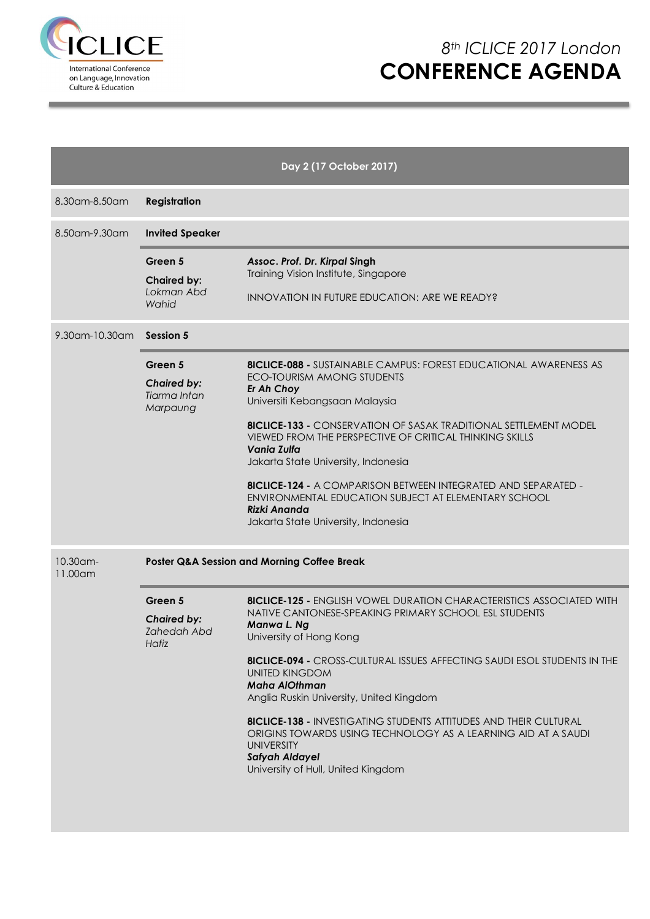

|                     |                                                              | Day 2 (17 October 2017)                                                                                                                                                                                                                                                                                                                                                                                                                                                                                                                                                                         |  |  |  |  |  |
|---------------------|--------------------------------------------------------------|-------------------------------------------------------------------------------------------------------------------------------------------------------------------------------------------------------------------------------------------------------------------------------------------------------------------------------------------------------------------------------------------------------------------------------------------------------------------------------------------------------------------------------------------------------------------------------------------------|--|--|--|--|--|
| 8.30 am - 8.50 am   | <b>Registration</b>                                          |                                                                                                                                                                                                                                                                                                                                                                                                                                                                                                                                                                                                 |  |  |  |  |  |
| 8.50am-9.30am       | <b>Invited Speaker</b>                                       |                                                                                                                                                                                                                                                                                                                                                                                                                                                                                                                                                                                                 |  |  |  |  |  |
|                     | Green 5<br><b>Chaired by:</b><br>Lokman Abd<br>Wahid         | Assoc. Prof. Dr. Kirpal Singh<br>Training Vision Institute, Singapore<br><b>INNOVATION IN FUTURE EDUCATION: ARE WE READY?</b>                                                                                                                                                                                                                                                                                                                                                                                                                                                                   |  |  |  |  |  |
| 9.30am-10.30am      | Session 5                                                    |                                                                                                                                                                                                                                                                                                                                                                                                                                                                                                                                                                                                 |  |  |  |  |  |
|                     | Green 5<br><b>Chaired by:</b><br>Tiarma Intan<br>Marpaung    | <b>8ICLICE-088 -</b> SUSTAINABLE CAMPUS: FOREST EDUCATIONAL AWARENESS AS<br>ECO-TOURISM AMONG STUDENTS<br>Er Ah Choy<br>Universiti Kebangsaan Malaysia<br><b>8ICLICE-133 - CONSERVATION OF SASAK TRADITIONAL SETTLEMENT MODEL</b><br>VIEWED FROM THE PERSPECTIVE OF CRITICAL THINKING SKILLS<br><b>Vania Zulfa</b><br>Jakarta State University, Indonesia<br><b>8ICLICE-124 - A COMPARISON BETWEEN INTEGRATED AND SEPARATED -</b><br>ENVIRONMENTAL EDUCATION SUBJECT AT ELEMENTARY SCHOOL<br><b>Rizki Ananda</b><br>Jakarta State University, Indonesia                                         |  |  |  |  |  |
| 10.30am-<br>11.00am | Poster Q&A Session and Morning Coffee Break                  |                                                                                                                                                                                                                                                                                                                                                                                                                                                                                                                                                                                                 |  |  |  |  |  |
|                     | Green 5<br><b>Chaired by:</b><br><b>Zahedah Abd</b><br>Hafiz | <b>8ICLICE-125 - ENGLISH VOWEL DURATION CHARACTERISTICS ASSOCIATED WITH</b><br>NATIVE CANTONESE-SPEAKING PRIMARY SCHOOL ESL STUDENTS<br>Manwa L. Ng<br>University of Hong Kong<br><b>8ICLICE-094 - CROSS-CULTURAL ISSUES AFFECTING SAUDI ESOL STUDENTS IN THE</b><br><b>UNITED KINGDOM</b><br><b>Maha AlOthman</b><br>Anglia Ruskin University, United Kingdom<br><b>8ICLICE-138 - INVESTIGATING STUDENTS ATTITUDES AND THEIR CULTURAL</b><br>ORIGINS TOWARDS USING TECHNOLOGY AS A LEARNING AID AT A SAUDI<br><b>UNIVERSITY</b><br><b>Safyah Aldayel</b><br>University of Hull, United Kingdom |  |  |  |  |  |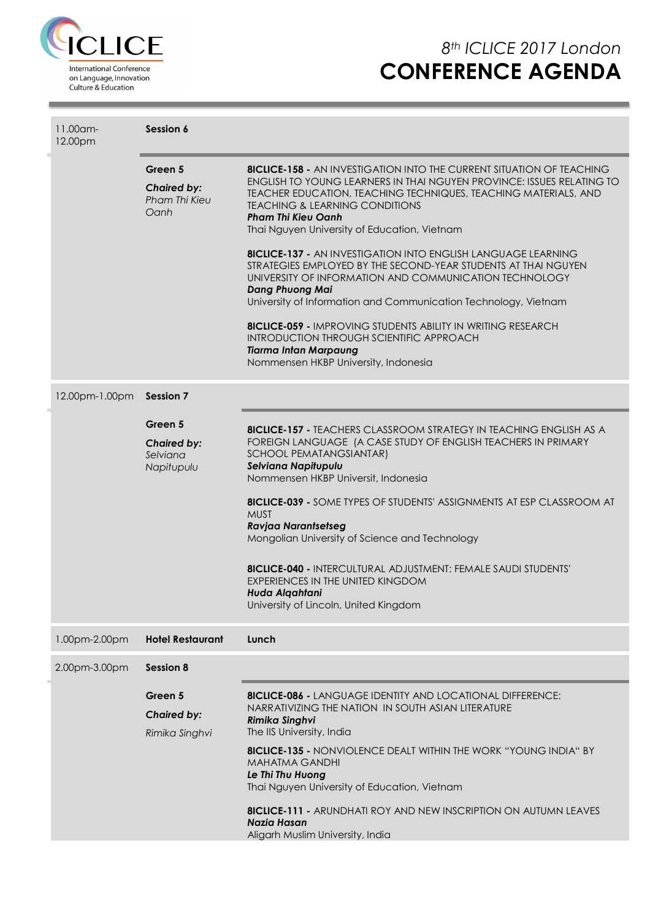

| 11.00am-<br>12.00pm | Session 6                                               |                                                                                                                                                                                                                                                                                                                                                                                                                                                                                                                                                           |  |  |  |  |
|---------------------|---------------------------------------------------------|-----------------------------------------------------------------------------------------------------------------------------------------------------------------------------------------------------------------------------------------------------------------------------------------------------------------------------------------------------------------------------------------------------------------------------------------------------------------------------------------------------------------------------------------------------------|--|--|--|--|
|                     | Green 5<br><b>Chaired by:</b><br>Pham Thi Kieu<br>Oanh  | <b>8ICLICE-158 - AN INVESTIGATION INTO THE CURRENT SITUATION OF TEACHING</b><br>ENGLISH TO YOUNG LEARNERS IN THAI NGUYEN PROVINCE: ISSUES RELATING TO<br>TEACHER EDUCATION, TEACHING TECHNIQUES, TEACHING MATERIALS, AND<br><b>TEACHING &amp; LEARNING CONDITIONS</b><br><b>Pham Thi Kieu Oanh</b><br>Thai Nguyen University of Education, Vietnam                                                                                                                                                                                                        |  |  |  |  |
|                     |                                                         | <b>8ICLICE-137 - AN INVESTIGATION INTO ENGLISH LANGUAGE LEARNING</b><br>STRATEGIES EMPLOYED BY THE SECOND-YEAR STUDENTS AT THAI NGUYEN<br>UNIVERSITY OF INFORMATION AND COMMUNICATION TECHNOLOGY<br><b>Dang Phuong Mai</b><br>University of Information and Communication Technology, Vietnam                                                                                                                                                                                                                                                             |  |  |  |  |
|                     |                                                         | <b>8ICLICE-059 - IMPROVING STUDENTS ABILITY IN WRITING RESEARCH</b><br><b>INTRODUCTION THROUGH SCIENTIFIC APPROACH</b><br><b>Tiarma Intan Marpaung</b><br>Nommensen HKBP University, Indonesia                                                                                                                                                                                                                                                                                                                                                            |  |  |  |  |
| 12.00pm-1.00pm      | <b>Session 7</b>                                        |                                                                                                                                                                                                                                                                                                                                                                                                                                                                                                                                                           |  |  |  |  |
|                     | Green 5<br><b>Chaired by:</b><br>Selviana<br>Napitupulu | <b>8ICLICE-157 - TEACHERS CLASSROOM STRATEGY IN TEACHING ENGLISH AS A</b><br>FOREIGN LANGUAGE (A CASE STUDY OF ENGLISH TEACHERS IN PRIMARY<br>SCHOOL PEMATANGSIANTAR)<br>Selviana Napitupulu<br>Nommensen HKBP Universit, Indonesia<br><b>8ICLICE-039 -</b> SOME TYPES OF STUDENTS' ASSIGNMENTS AT ESP CLASSROOM AT<br><b>MUST</b><br><b>Ravjaa Narantsetseg</b><br>Mongolian University of Science and Technology<br><b>8ICLICE-040 - INTERCULTURAL ADJUSTMENT: FEMALE SAUDI STUDENTS'</b><br><b>EXPERIENCES IN THE UNITED KINGDOM</b><br>Huda Alqahtani |  |  |  |  |
|                     |                                                         | University of Lincoln, United Kingdom                                                                                                                                                                                                                                                                                                                                                                                                                                                                                                                     |  |  |  |  |
| 1.00pm-2.00pm       | <b>Hotel Restaurant</b>                                 | Lunch                                                                                                                                                                                                                                                                                                                                                                                                                                                                                                                                                     |  |  |  |  |
| 2.00pm-3.00pm       | Session 8                                               |                                                                                                                                                                                                                                                                                                                                                                                                                                                                                                                                                           |  |  |  |  |
|                     | Green 5<br><b>Chaired by:</b><br>Rimika Singhvi         | <b>8ICLICE-086 - LANGUAGE IDENTITY AND LOCATIONAL DIFFERENCE:</b><br>NARRATIVIZING THE NATION IN SOUTH ASIAN LITERATURE<br><b>Rimika Singhvi</b><br>The IIS University, India                                                                                                                                                                                                                                                                                                                                                                             |  |  |  |  |
|                     |                                                         | <b>8ICLICE-135 -</b> NONVIOLENCE DEALT WITHIN THE WORK "YOUNG INDIA" BY<br><b>MAHATMA GANDHI</b><br>Le Thi Thu Huong<br>Thai Nguyen University of Education, Vietnam                                                                                                                                                                                                                                                                                                                                                                                      |  |  |  |  |
|                     |                                                         | <b>8ICLICE-111 - ARUNDHATI ROY AND NEW INSCRIPTION ON AUTUMN LEAVES</b><br><b>Nazia Hasan</b><br>Aligarh Muslim University, India                                                                                                                                                                                                                                                                                                                                                                                                                         |  |  |  |  |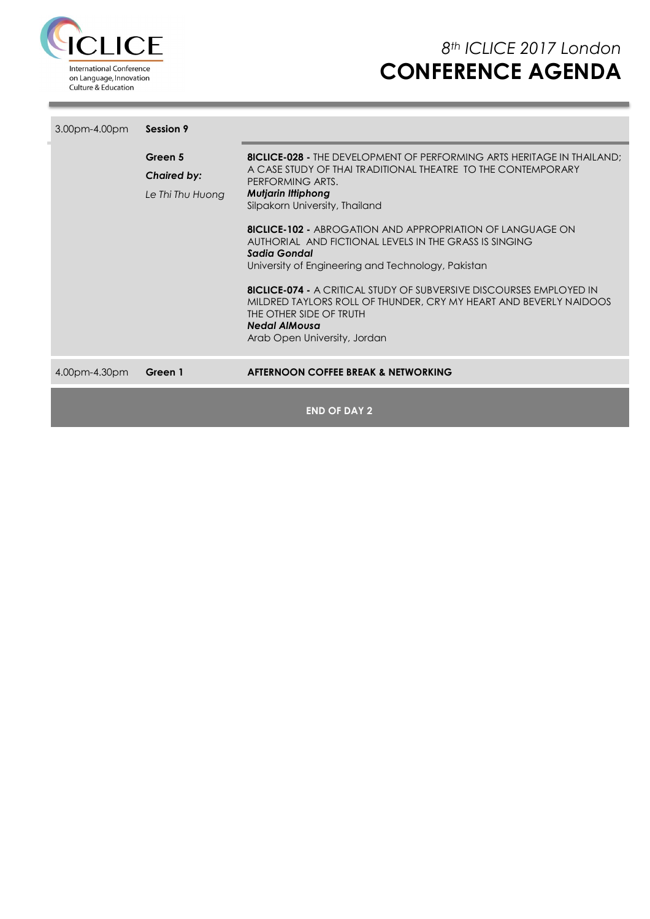

| 3.00pm-4.00pm | Session 9                                         |                                                                                                                                                                                                                                                                                                                                                                                                                                                                                                                                                                                                                                                                            |
|---------------|---------------------------------------------------|----------------------------------------------------------------------------------------------------------------------------------------------------------------------------------------------------------------------------------------------------------------------------------------------------------------------------------------------------------------------------------------------------------------------------------------------------------------------------------------------------------------------------------------------------------------------------------------------------------------------------------------------------------------------------|
|               | Green 5<br><b>Chaired by:</b><br>Le Thi Thu Huong | <b>8ICLICE-028 -</b> THE DEVELOPMENT OF PERFORMING ARTS HERITAGE IN THAILAND:<br>A CASE STUDY OF THAI TRADITIONAL THEATRE TO THE CONTEMPORARY<br>PERFORMING ARTS.<br><b>Mutjarin Ittiphong</b><br>Silpakorn University, Thailand<br><b>8ICLICE-102 -</b> ABROGATION AND APPROPRIATION OF LANGUAGE ON<br>AUTHORIAL AND FICTIONAL LEVELS IN THE GRASS IS SINGING<br>Sadia Gondal<br>University of Engineering and Technology, Pakistan<br><b>8ICLICE-074 -</b> A CRITICAL STUDY OF SUBVERSIVE DISCOURSES EMPLOYED IN<br>MILDRED TAYLORS ROLL OF THUNDER, CRY MY HEART AND BEVERLY NAIDOOS<br>THE OTHER SIDE OF TRUTH<br><b>Nedal AlMousa</b><br>Arab Open University, Jordan |
| 4.00pm-4.30pm | Green 1                                           | AFTERNOON COFFEE BREAK & NETWORKING                                                                                                                                                                                                                                                                                                                                                                                                                                                                                                                                                                                                                                        |
|               |                                                   | <b>END OF DAY 2</b>                                                                                                                                                                                                                                                                                                                                                                                                                                                                                                                                                                                                                                                        |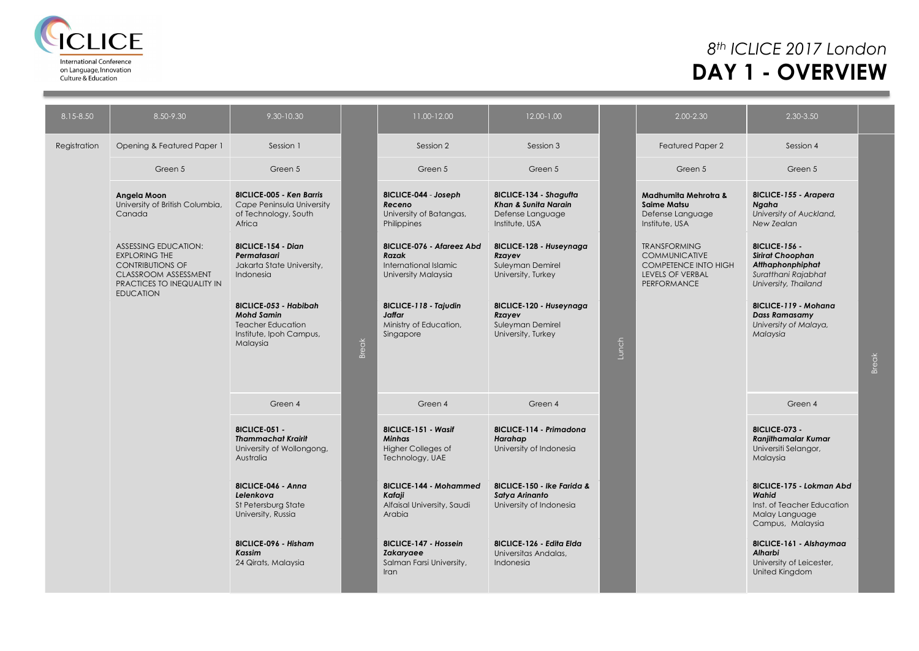

## *8th ICLICE 2017 London* **DAY 1 - OVERVIEW**

| 8.15-8.50    | 8.50-9.30                                                                                                                                                       | 9.30-10.30                                                                                                    |              | 11.00-12.00                                                                          | 12.00-1.00                                                                           |       | 2.00-2.30                                                                                                     | 2.30-3.50                                                                                                   |       |
|--------------|-----------------------------------------------------------------------------------------------------------------------------------------------------------------|---------------------------------------------------------------------------------------------------------------|--------------|--------------------------------------------------------------------------------------|--------------------------------------------------------------------------------------|-------|---------------------------------------------------------------------------------------------------------------|-------------------------------------------------------------------------------------------------------------|-------|
| Registration | Opening & Featured Paper 1                                                                                                                                      | Session 1                                                                                                     |              | Session 2                                                                            | Session 3                                                                            |       | Featured Paper 2                                                                                              | Session 4                                                                                                   |       |
|              | Green 5                                                                                                                                                         | Green 5                                                                                                       |              | Green 5                                                                              | Green 5                                                                              |       | Green 5                                                                                                       | Green 5                                                                                                     |       |
|              | Angela Moon<br>University of British Columbia,<br>Canada                                                                                                        | <b>8ICLICE-005 - Ken Barris</b><br>Cape Peninsula University<br>of Technology, South<br>Africa                |              | 8ICLICE-044 - Joseph<br>Receno<br>University of Batangas,<br>Philippines             | 8ICLICE-134 - Shagufta<br>Khan & Sunita Narain<br>Defense Language<br>Institute, USA |       | Madhumita Mehrotra &<br><b>Saime Matsu</b><br>Defense Language<br>Institute, USA                              | 8ICLICE-155 - Arapera<br>Ngaha<br>University of Auckland,<br>New Zealan                                     |       |
|              | <b>ASSESSING EDUCATION:</b><br><b>EXPLORING THE</b><br><b>CONTRIBUTIONS OF</b><br><b>CLASSROOM ASSESSMENT</b><br>PRACTICES TO INEQUALITY IN<br><b>EDUCATION</b> | 8ICLICE-154 - Dian<br>Permatasari<br>Jakarta State University,<br>Indonesia                                   |              | 8ICLICE-076 - Afareez Abd<br>Razak<br>International Islamic<br>University Malaysia   | 8ICLICE-128 - Huseynaga<br>Rzayev<br>Suleyman Demirel<br>University, Turkey          |       | <b>TRANSFORMING</b><br><b>COMMUNICATIVE</b><br><b>COMPETENCE INTO HIGH</b><br>LEVELS OF VERBAL<br>PERFORMANCE | 8ICLICE-156 -<br><b>Sirirat Choophan</b><br>Atthaphonphiphat<br>Suratthani Rajabhat<br>University, Thailand |       |
|              |                                                                                                                                                                 | 8ICLICE-053 - Habibah<br><b>Mohd Samin</b><br><b>Teacher Education</b><br>Institute, Ipoh Campus,<br>Malaysia | <b>Break</b> | 8ICLICE-118 - Tajudin<br>Jaffar<br>Ministry of Education,<br>Singapore               | 8ICLICE-120 - Huseynaga<br>Rzayev<br>Suleyman Demirel<br>University, Turkey          | Lunch |                                                                                                               | 8ICLICE-119 - Mohana<br><b>Dass Ramasamy</b><br>University of Malaya,<br>Malaysia                           | Break |
|              |                                                                                                                                                                 | Green 4                                                                                                       |              | Green 4                                                                              | Green 4                                                                              |       |                                                                                                               | Green 4                                                                                                     |       |
|              |                                                                                                                                                                 | <b>8ICLICE-051 -</b><br><b>Thammachat Krairit</b><br>University of Wollongong,<br>Australia                   |              | 8ICLICE-151 - Wasif<br><b>Minhas</b><br><b>Higher Colleges of</b><br>Technology, UAE | 8ICLICE-114 - Primadona<br>Harahap<br>University of Indonesia                        |       |                                                                                                               | <b>8ICLICE-073 -</b><br><b>Ranjithamalar Kumar</b><br>Universiti Selangor,<br>Malaysia                      |       |
|              |                                                                                                                                                                 | 8ICLICE-046 - Anna<br>Lelenkova<br>St Petersburg State<br>University, Russia                                  |              | 8ICLICE-144 - Mohammed<br>Kafaji<br>Alfaisal University, Saudi<br>Arabia             | 8ICLICE-150 - Ike Farida &<br>Satya Arinanto<br>University of Indonesia              |       |                                                                                                               | 8ICLICE-175 - Lokman Abd<br>Wahid<br>Inst. of Teacher Education<br>Malay Language<br>Campus, Malaysia       |       |
|              |                                                                                                                                                                 | 8ICLICE-096 - Hisham<br><b>Kassim</b><br>24 Qirats, Malaysia                                                  |              | 8ICLICE-147 - Hossein<br>Zakaryaee<br>Salman Farsi University,<br>Iran               | 8ICLICE-126 - Edita Elda<br>Universitas Andalas,<br>Indonesia                        |       |                                                                                                               | 8ICLICE-161 - Alshaymaa<br>Alharbi<br>University of Leicester,<br>United Kingdom                            |       |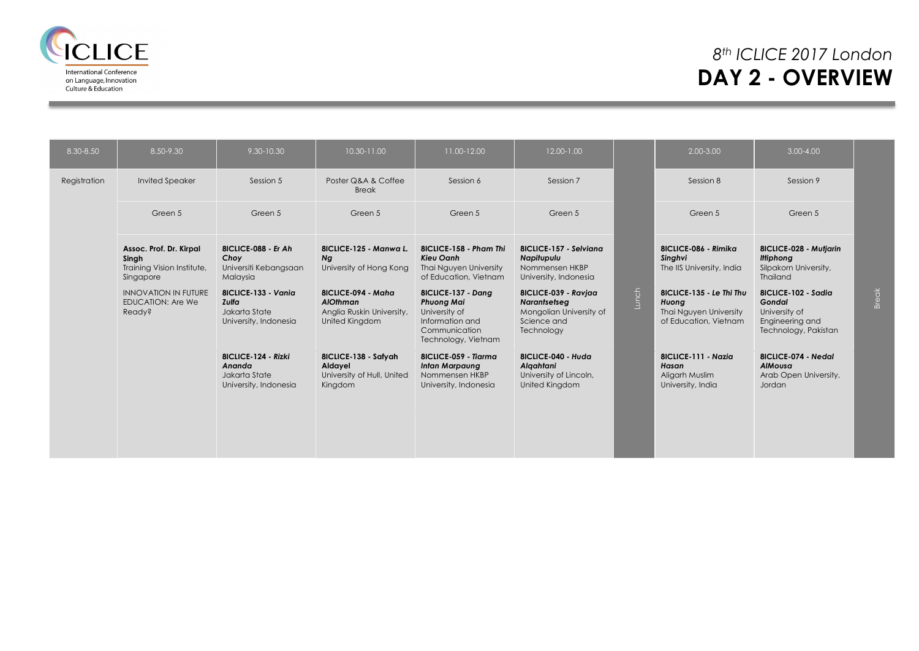

## *8th ICLICE 2017 London* **DAY 2 - OVERVIEW**

| 8.30-8.50    | 8.50-9.30                                                                   | 9.30-10.30                                                              | 10.30-11.00                                                                   | 11.00-12.00                                                                                                         | 12.00-1.00                                                                                   |       | 2.00-3.00                                                                            | $3.00 - 4.00$                                                                             |       |
|--------------|-----------------------------------------------------------------------------|-------------------------------------------------------------------------|-------------------------------------------------------------------------------|---------------------------------------------------------------------------------------------------------------------|----------------------------------------------------------------------------------------------|-------|--------------------------------------------------------------------------------------|-------------------------------------------------------------------------------------------|-------|
| Registration | <b>Invited Speaker</b>                                                      | Session 5                                                               | Poster Q&A & Coffee<br><b>Break</b>                                           | Session 6                                                                                                           | Session 7                                                                                    |       | Session 8                                                                            | Session 9                                                                                 |       |
|              | Green 5                                                                     | Green 5                                                                 | Green 5                                                                       | Green 5                                                                                                             | Green 5                                                                                      |       | Green 5                                                                              | Green 5                                                                                   |       |
|              | Assoc. Prof. Dr. Kirpal<br>Singh<br>Training Vision Institute,<br>Singapore | 8ICLICE-088 - Er Ah<br>Choy<br>Universiti Kebangsaan<br>Malaysia        | 8ICLICE-125 - Manwa L.<br>Ng<br>University of Hong Kong                       | 8ICLICE-158 - Pham Thi<br>Kieu Oanh<br>Thai Nguyen University<br>of Education, Vietnam                              | 8ICLICE-157 - Selviana<br>Napitupulu<br>Nommensen HKBP<br>University, Indonesia              |       | 8ICLICE-086 - Rimika<br>Singhvi<br>The IIS University, India                         | 8ICLICE-028 - Mutjarin<br><b>Ittiphong</b><br>Silpakorn University,<br>Thailand           |       |
|              | <b>INNOVATION IN FUTURE</b><br><b>EDUCATION: Are We</b><br>Ready?           | 8ICLICE-133 - Vania<br>Zulfa<br>Jakarta State<br>University, Indonesia  | 8ICLICE-094 - Maha<br>AlOthman<br>Anglia Ruskin University,<br>United Kingdom | 8ICLICE-137 - Dang<br><b>Phuong Mai</b><br>University of<br>Information and<br>Communication<br>Technology, Vietnam | 8ICLICE-039 - Ravjaa<br>Narantsetseg<br>Mongolian University of<br>Science and<br>Technology | Lunch | 8ICLICE-135 - Le Thi Thu<br>Huong<br>Thai Nguyen University<br>of Education, Vietnam | 8ICLICE-102 - Sadia<br>Gondal<br>University of<br>Engineering and<br>Technology, Pakistan | Break |
|              |                                                                             | 8ICLICE-124 - Rizki<br>Ananda<br>Jakarta State<br>University, Indonesia | 8ICLICE-138 - Safyah<br>Aldayel<br>University of Hull, United<br>Kingdom      | 8ICLICE-059 - Tiarma<br><b>Intan Marpaung</b><br>Nommensen HKBP<br>University, Indonesia                            | 8ICLICE-040 - Huda<br>Algahtani<br>University of Lincoln,<br>United Kingdom                  |       | 8ICLICE-111 - Nazia<br>Hasan<br>Aligarh Muslim<br>University, India                  | 8ICLICE-074 - Nedal<br><b>AlMousa</b><br>Arab Open University,<br>Jordan                  |       |
|              |                                                                             |                                                                         |                                                                               |                                                                                                                     |                                                                                              |       |                                                                                      |                                                                                           |       |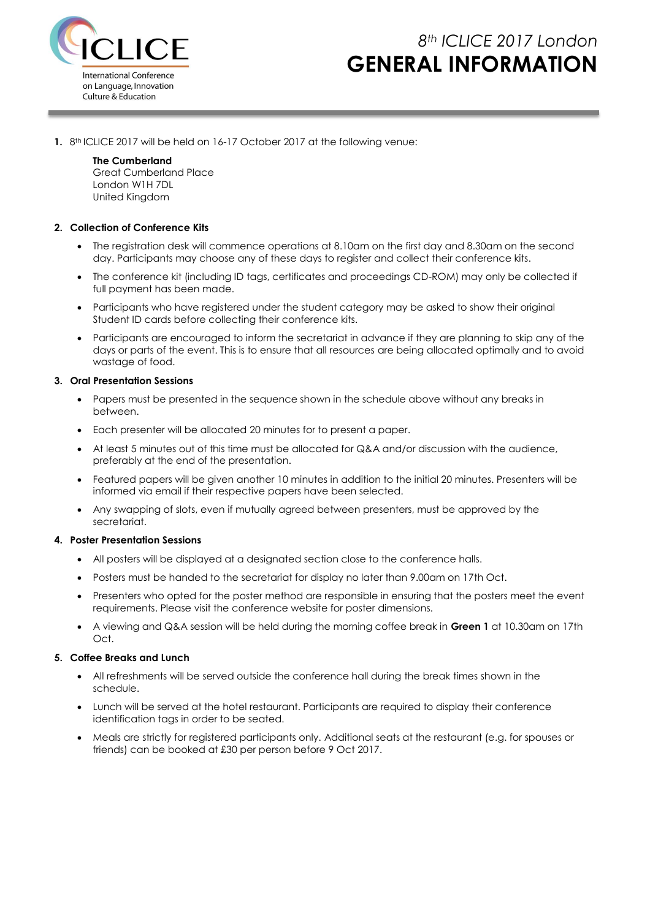

# *8th ICLICE 2017 London* **GENERAL INFORMATION**

**1.** 8 th ICLICE 2017 will be held on 16-17 October 2017 at the following venue:

### **The Cumberland**

Great Cumberland Place London W1H 7DL United Kingdom

### **2. Collection of Conference Kits**

- The registration desk will commence operations at 8.10am on the first day and 8.30am on the second day. Participants may choose any of these days to register and collect their conference kits.
- The conference kit (including ID tags, certificates and proceedings CD-ROM) may only be collected if full payment has been made.
- Participants who have registered under the student category may be asked to show their original Student ID cards before collecting their conference kits.
- Participants are encouraged to inform the secretariat in advance if they are planning to skip any of the days or parts of the event. This is to ensure that all resources are being allocated optimally and to avoid wastage of food.

### **3. Oral Presentation Sessions**

- Papers must be presented in the sequence shown in the schedule above without any breaks in between.
- Each presenter will be allocated 20 minutes for to present a paper.
- At least 5 minutes out of this time must be allocated for Q&A and/or discussion with the audience, preferably at the end of the presentation.
- Featured papers will be given another 10 minutes in addition to the initial 20 minutes. Presenters will be informed via email if their respective papers have been selected.
- Any swapping of slots, even if mutually agreed between presenters, must be approved by the secretariat.

#### **4. Poster Presentation Sessions**

- All posters will be displayed at a designated section close to the conference halls.
- Posters must be handed to the secretariat for display no later than 9.00am on 17th Oct.
- Presenters who opted for the poster method are responsible in ensuring that the posters meet the event requirements. Please visit the conference website for poster dimensions.
- A viewing and Q&A session will be held during the morning coffee break in **Green 1** at 10.30am on 17th Oct.

### **5. Coffee Breaks and Lunch**

- All refreshments will be served outside the conference hall during the break times shown in the schedule.
- Lunch will be served at the hotel restaurant. Participants are required to display their conference identification tags in order to be seated.
- Meals are strictly for registered participants only. Additional seats at the restaurant (e.g. for spouses or friends) can be booked at £30 per person before 9 Oct 2017.